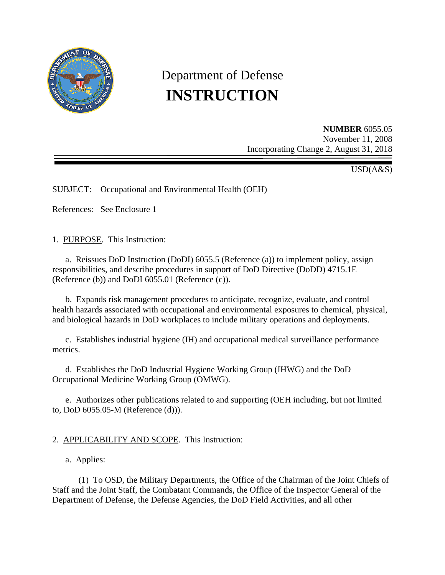

# Department of Defense **INSTRUCTION**

**NUMBER** 6055.05 November 11, 2008 Incorporating Change 2, August 31, 2018

USD(A&S)

SUBJECT: Occupational and Environmental Health (OEH)

References: See Enclosure 1

1. PURPOSE. This Instruction:

 a. Reissues DoD Instruction (DoDI) 6055.5 (Reference (a)) to implement policy, assign responsibilities, and describe procedures in support of DoD Directive (DoDD) 4715.1E (Reference (b)) and DoDI 6055.01 (Reference (c)).

 b. Expands risk management procedures to anticipate, recognize, evaluate, and control health hazards associated with occupational and environmental exposures to chemical, physical, and biological hazards in DoD workplaces to include military operations and deployments.

 c. Establishes industrial hygiene (IH) and occupational medical surveillance performance metrics.

 d. Establishes the DoD Industrial Hygiene Working Group (IHWG) and the DoD Occupational Medicine Working Group (OMWG).

 e. Authorizes other publications related to and supporting (OEH including, but not limited to, DoD 6055.05-M (Reference (d))).

## 2. APPLICABILITY AND SCOPE. This Instruction:

a. Applies:

 (1) To OSD, the Military Departments, the Office of the Chairman of the Joint Chiefs of Staff and the Joint Staff, the Combatant Commands, the Office of the Inspector General of the Department of Defense, the Defense Agencies, the DoD Field Activities, and all other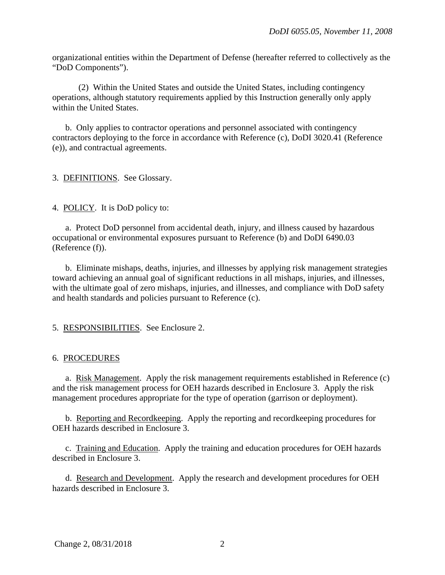organizational entities within the Department of Defense (hereafter referred to collectively as the "DoD Components").

 (2) Within the United States and outside the United States, including contingency operations, although statutory requirements applied by this Instruction generally only apply within the United States.

 b. Only applies to contractor operations and personnel associated with contingency contractors deploying to the force in accordance with Reference (c), DoDI 3020.41 (Reference (e)), and contractual agreements.

3. DEFINITIONS. See Glossary.

4. POLICY. It is DoD policy to:

 a. Protect DoD personnel from accidental death, injury, and illness caused by hazardous occupational or environmental exposures pursuant to Reference (b) and DoDI 6490.03 (Reference (f)).

 b. Eliminate mishaps, deaths, injuries, and illnesses by applying risk management strategies toward achieving an annual goal of significant reductions in all mishaps, injuries, and illnesses, with the ultimate goal of zero mishaps, injuries, and illnesses, and compliance with DoD safety and health standards and policies pursuant to Reference (c).

5. RESPONSIBILITIES. See Enclosure 2.

#### 6. PROCEDURES

 a. Risk Management. Apply the risk management requirements established in Reference (c) and the risk management process for OEH hazards described in Enclosure 3. Apply the risk management procedures appropriate for the type of operation (garrison or deployment).

 b. Reporting and Recordkeeping. Apply the reporting and recordkeeping procedures for OEH hazards described in Enclosure 3.

 c. Training and Education. Apply the training and education procedures for OEH hazards described in Enclosure 3.

 d. Research and Development. Apply the research and development procedures for OEH hazards described in Enclosure 3.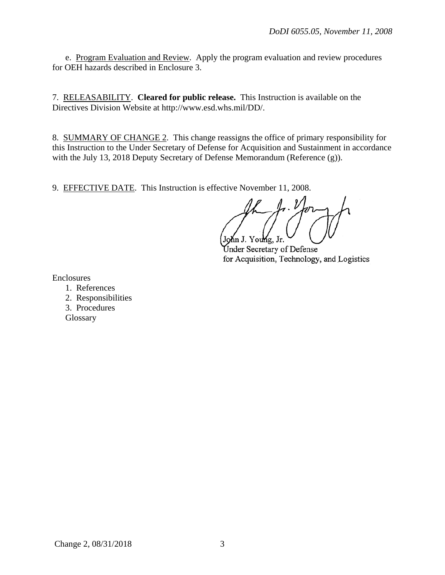e. Program Evaluation and Review. Apply the program evaluation and review procedures for OEH hazards described in Enclosure 3.

7. RELEASABILITY. **Cleared for public release.** This Instruction is available on the Directives Division Website at http://www.esd.whs.mil/DD/.

8. SUMMARY OF CHANGE 2. This change reassigns the office of primary responsibility for this Instruction to the Under Secretary of Defense for Acquisition and Sustainment in accordance with the July 13, 2018 Deputy Secretary of Defense Memorandum (Reference (g)).

9. EFFECTIVE DATE. This Instruction is effective November 11, 2008.

John J. Young, Jr.

Under Secretary of Defense for Acquisition, Technology, and Logistics

Enclosures

- 1. References
- 2. Responsibilities
- 3. Procedures

**Glossary**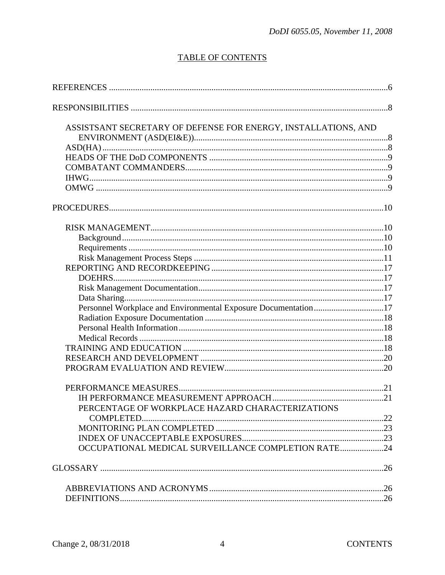## **TABLE OF CONTENTS**

| ASSISTSANT SECRETARY OF DEFENSE FOR ENERGY, INSTALLATIONS, AND |  |
|----------------------------------------------------------------|--|
|                                                                |  |
|                                                                |  |
|                                                                |  |
|                                                                |  |
|                                                                |  |
|                                                                |  |
|                                                                |  |
|                                                                |  |
|                                                                |  |
|                                                                |  |
|                                                                |  |
|                                                                |  |
|                                                                |  |
|                                                                |  |
|                                                                |  |
| Personnel Workplace and Environmental Exposure Documentation17 |  |
|                                                                |  |
|                                                                |  |
|                                                                |  |
|                                                                |  |
|                                                                |  |
|                                                                |  |
|                                                                |  |
|                                                                |  |
| PERCENTAGE OF WORKPLACE HAZARD CHARACTERIZATIONS               |  |
|                                                                |  |
|                                                                |  |
|                                                                |  |
| OCCUPATIONAL MEDICAL SURVEILLANCE COMPLETION RATE24            |  |
|                                                                |  |
|                                                                |  |
|                                                                |  |
|                                                                |  |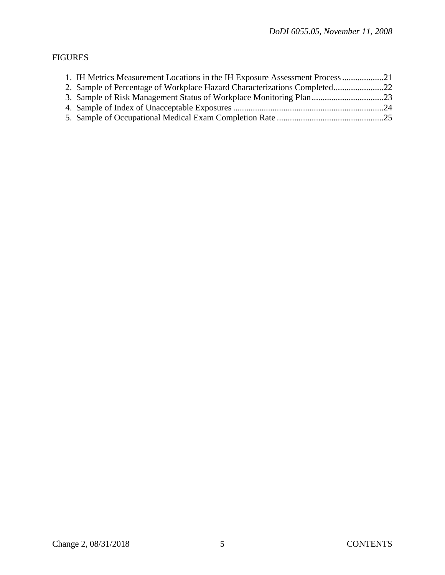# FIGURES

| 1. IH Metrics Measurement Locations in the IH Exposure Assessment Process 21 |  |
|------------------------------------------------------------------------------|--|
| 2. Sample of Percentage of Workplace Hazard Characterizations Completed22    |  |
|                                                                              |  |
|                                                                              |  |
|                                                                              |  |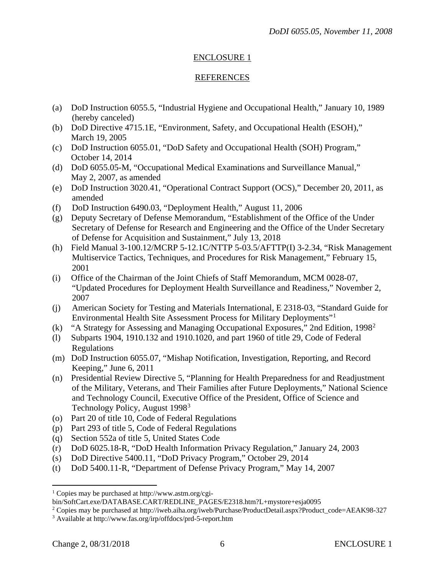#### ENCLOSURE 1

#### REFERENCES

- (a) DoD Instruction 6055.5, "Industrial Hygiene and Occupational Health," January 10, 1989 (hereby canceled)
- (b) DoD Directive 4715.1E, "Environment, Safety, and Occupational Health (ESOH)," March 19, 2005
- (c) DoD Instruction 6055.01, "DoD Safety and Occupational Health (SOH) Program," October 14, 2014
- (d) DoD 6055.05-M, "Occupational Medical Examinations and Surveillance Manual," May 2, 2007, as amended
- (e) DoD Instruction 3020.41, "Operational Contract Support (OCS)," December 20, 2011, as amended
- (f) DoD Instruction 6490.03, "Deployment Health," August 11, 2006
- (g) Deputy Secretary of Defense Memorandum, "Establishment of the Office of the Under Secretary of Defense for Research and Engineering and the Office of the Under Secretary of Defense for Acquisition and Sustainment," July 13, 2018
- (h) Field Manual 3-100.12/MCRP 5-12.1C/NTTP 5-03.5/AFTTP(I) 3-2.34, "Risk Management Multiservice Tactics, Techniques, and Procedures for Risk Management," February 15, 2001
- (i) Office of the Chairman of the Joint Chiefs of Staff Memorandum, MCM 0028-07, "Updated Procedures for Deployment Health Surveillance and Readiness," November 2, 2007
- (j) American Society for Testing and Materials International, E 2318-03, "Standard Guide for Environmental Health Site Assessment Process for Military Deployments"[1](#page-5-0)
- (k) "A Strategy for Assessing and Managing Occupational Exposures," 2nd Edition, 1998[2](#page-5-1)
- (l) Subparts 1904, 1910.132 and 1910.1020, and part 1960 of title 29, Code of Federal Regulations
- (m) DoD Instruction 6055.07, "Mishap Notification, Investigation, Reporting, and Record Keeping," June 6, 2011
- (n) Presidential Review Directive 5, "Planning for Health Preparedness for and Readjustment of the Military, Veterans, and Their Families after Future Deployments," National Science and Technology Council, Executive Office of the President, Office of Science and Technology Policy, August 1998<sup>[3](#page-5-2)</sup>
- (o) Part 20 of title 10, Code of Federal Regulations
- (p) Part 293 of title 5, Code of Federal Regulations
- (q) Section 552a of title 5, United States Code
- (r) DoD 6025.18-R, "DoD Health Information Privacy Regulation," January 24, 2003
- (s) DoD Directive 5400.11, "DoD Privacy Program," October 29, 2014
- (t) DoD 5400.11-R, "Department of Defense Privacy Program," May 14, 2007

 $\overline{a}$ 

<span id="page-5-0"></span><sup>1</sup> Copies may be purchased at http://www.astm.org/cgi-

bin/SoftCart.exe/DATABASE.CART/REDLINE\_PAGES/E2318.htm?L+mystore+esja0095

<span id="page-5-1"></span><sup>2</sup> Copies may be purchased at http://iweb.aiha.org/iweb/Purchase/ProductDetail.aspx?Product\_code=AEAK98-327

<span id="page-5-2"></span><sup>3</sup> Available at http://www.fas.org/irp/offdocs/prd-5-report.htm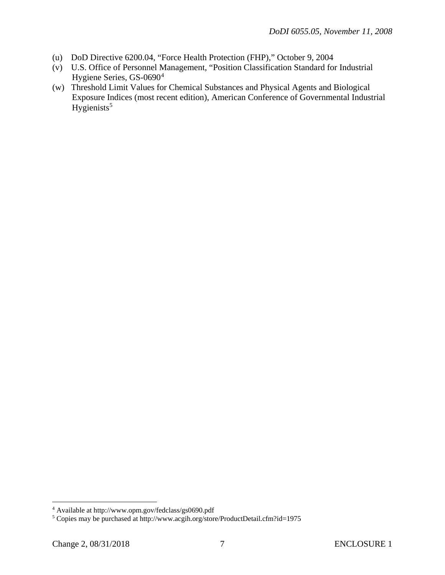- (u) DoD Directive 6200.04, "Force Health Protection (FHP)," October 9, 2004
- (v) U.S. Office of Personnel Management, "Position Classification Standard for Industrial Hygiene Series, GS-0690[4](#page-6-0)
- Hygienists<sup>[5](#page-6-1)</sup> (w) Threshold Limit Values for Chemical Substances and Physical Agents and Biological Exposure Indices (most recent edition), American Conference of Governmental Industrial

 $\overline{a}$ 

<span id="page-6-0"></span><sup>4</sup> Available at http://www.opm.gov/fedclass/gs0690.pdf

<span id="page-6-1"></span><sup>5</sup> Copies may be purchased at http://www.acgih.org/store/ProductDetail.cfm?id=1975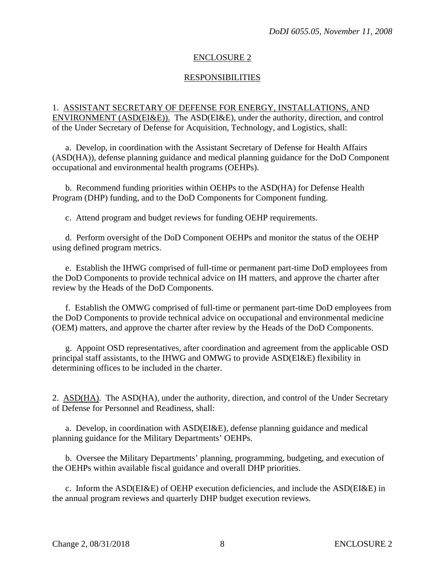#### ENCLOSURE 2

#### RESPONSIBILITIES

#### 1. ASSISTANT SECRETARY OF DEFENSE FOR ENERGY, INSTALLATIONS, AND ENVIRONMENT (ASD(EI&E)). The ASD(EI&E), under the authority, direction, and control of the Under Secretary of Defense for Acquisition, Technology, and Logistics, shall:

a. Develop, in coordination with the Assistant Secretary of Defense for Health Affairs (ASD(HA)), defense planning guidance and medical planning guidance for the DoD Component occupational and environmental health programs (OEHPs).

 b. Recommend funding priorities within OEHPs to the ASD(HA) for Defense Health Program (DHP) funding, and to the DoD Components for Component funding.

c. Attend program and budget reviews for funding OEHP requirements.

 d. Perform oversight of the DoD Component OEHPs and monitor the status of the OEHP using defined program metrics.

 e. Establish the IHWG comprised of full-time or permanent part-time DoD employees from the DoD Components to provide technical advice on IH matters, and approve the charter after review by the Heads of the DoD Components.

 f. Establish the OMWG comprised of full-time or permanent part-time DoD employees from the DoD Components to provide technical advice on occupational and environmental medicine (OEM) matters, and approve the charter after review by the Heads of the DoD Components.

 g. Appoint OSD representatives, after coordination and agreement from the applicable OSD principal staff assistants, to the IHWG and OMWG to provide ASD(EI&E) flexibility in determining offices to be included in the charter.

2. ASD(HA). The ASD(HA), under the authority, direction, and control of the Under Secretary of Defense for Personnel and Readiness, shall:

 a. Develop, in coordination with ASD(EI&E), defense planning guidance and medical planning guidance for the Military Departments' OEHPs.

 b. Oversee the Military Departments' planning, programming, budgeting, and execution of the OEHPs within available fiscal guidance and overall DHP priorities.

 c. Inform the ASD(EI&E) of OEHP execution deficiencies, and include the ASD(EI&E) in the annual program reviews and quarterly DHP budget execution reviews.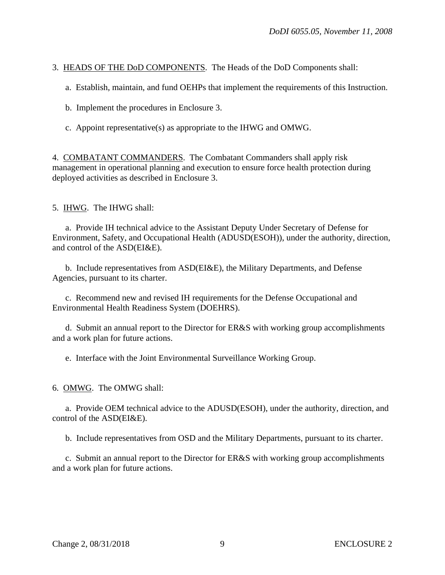3. HEADS OF THE DoD COMPONENTS. The Heads of the DoD Components shall:

a. Establish, maintain, and fund OEHPs that implement the requirements of this Instruction.

b. Implement the procedures in Enclosure 3.

c. Appoint representative(s) as appropriate to the IHWG and OMWG.

4. COMBATANT COMMANDERS. The Combatant Commanders shall apply risk management in operational planning and execution to ensure force health protection during deployed activities as described in Enclosure 3.

5. IHWG. The IHWG shall:

a. Provide IH technical advice to the Assistant Deputy Under Secretary of Defense for Environment, Safety, and Occupational Health (ADUSD(ESOH)), under the authority, direction, and control of the ASD(EI&E).

b. Include representatives from ASD(EI&E), the Military Departments, and Defense Agencies, pursuant to its charter.

 c. Recommend new and revised IH requirements for the Defense Occupational and Environmental Health Readiness System (DOEHRS).

 d. Submit an annual report to the Director for ER&S with working group accomplishments and a work plan for future actions.

e. Interface with the Joint Environmental Surveillance Working Group.

6. OMWG. The OMWG shall:

 a. Provide OEM technical advice to the ADUSD(ESOH), under the authority, direction, and control of the ASD(EI&E).

b. Include representatives from OSD and the Military Departments, pursuant to its charter.

 c. Submit an annual report to the Director for ER&S with working group accomplishments and a work plan for future actions.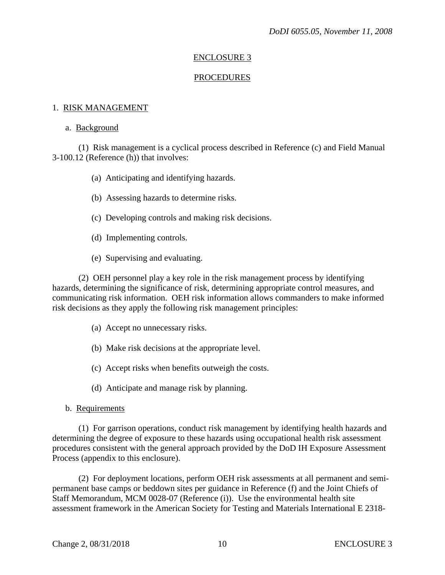#### ENCLOSURE 3

#### PROCEDURES

#### 1. RISK MANAGEMENT

#### a. Background

 (1) Risk management is a cyclical process described in Reference (c) and Field Manual 3-100.12 (Reference (h)) that involves:

- (a) Anticipating and identifying hazards.
- (b) Assessing hazards to determine risks.
- (c) Developing controls and making risk decisions.
- (d) Implementing controls.
- (e) Supervising and evaluating.

 (2) OEH personnel play a key role in the risk management process by identifying hazards, determining the significance of risk, determining appropriate control measures, and communicating risk information. OEH risk information allows commanders to make informed risk decisions as they apply the following risk management principles:

- (a) Accept no unnecessary risks.
- (b) Make risk decisions at the appropriate level.
- (c) Accept risks when benefits outweigh the costs.
- (d) Anticipate and manage risk by planning.
- b. Requirements

 (1) For garrison operations, conduct risk management by identifying health hazards and determining the degree of exposure to these hazards using occupational health risk assessment procedures consistent with the general approach provided by the DoD IH Exposure Assessment Process (appendix to this enclosure).

 (2) For deployment locations, perform OEH risk assessments at all permanent and semipermanent base camps or beddown sites per guidance in Reference (f) and the Joint Chiefs of Staff Memorandum, MCM 0028-07 (Reference (i)). Use the environmental health site assessment framework in the American Society for Testing and Materials International E 2318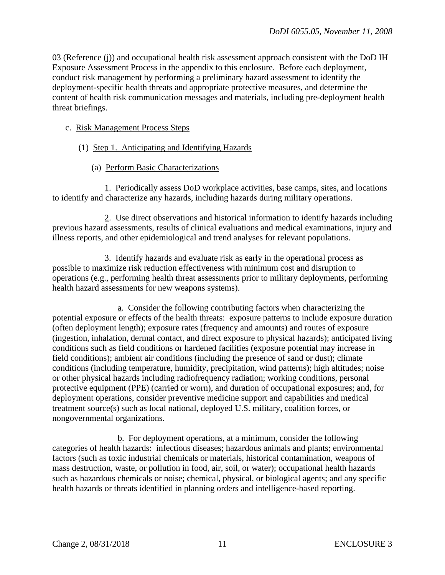03 (Reference (j)) and occupational health risk assessment approach consistent with the DoD IH Exposure Assessment Process in the appendix to this enclosure. Before each deployment, conduct risk management by performing a preliminary hazard assessment to identify the deployment-specific health threats and appropriate protective measures, and determine the content of health risk communication messages and materials, including pre-deployment health threat briefings.

#### c. Risk Management Process Steps

- (1) Step 1. Anticipating and Identifying Hazards
	- (a) Perform Basic Characterizations

 1. Periodically assess DoD workplace activities, base camps, sites, and locations to identify and characterize any hazards, including hazards during military operations.

 2. Use direct observations and historical information to identify hazards including previous hazard assessments, results of clinical evaluations and medical examinations, injury and illness reports, and other epidemiological and trend analyses for relevant populations.

 3. Identify hazards and evaluate risk as early in the operational process as possible to maximize risk reduction effectiveness with minimum cost and disruption to operations (e.g., performing health threat assessments prior to military deployments, performing health hazard assessments for new weapons systems).

 a. Consider the following contributing factors when characterizing the potential exposure or effects of the health threats: exposure patterns to include exposure duration (often deployment length); exposure rates (frequency and amounts) and routes of exposure (ingestion, inhalation, dermal contact, and direct exposure to physical hazards); anticipated living conditions such as field conditions or hardened facilities (exposure potential may increase in field conditions); ambient air conditions (including the presence of sand or dust); climate conditions (including temperature, humidity, precipitation, wind patterns); high altitudes; noise or other physical hazards including radiofrequency radiation; working conditions, personal protective equipment (PPE) (carried or worn), and duration of occupational exposures; and, for deployment operations, consider preventive medicine support and capabilities and medical treatment source(s) such as local national, deployed U.S. military, coalition forces, or nongovernmental organizations.

 b. For deployment operations, at a minimum, consider the following categories of health hazards: infectious diseases; hazardous animals and plants; environmental factors (such as toxic industrial chemicals or materials, historical contamination, weapons of mass destruction, waste, or pollution in food, air, soil, or water); occupational health hazards such as hazardous chemicals or noise; chemical, physical, or biological agents; and any specific health hazards or threats identified in planning orders and intelligence-based reporting.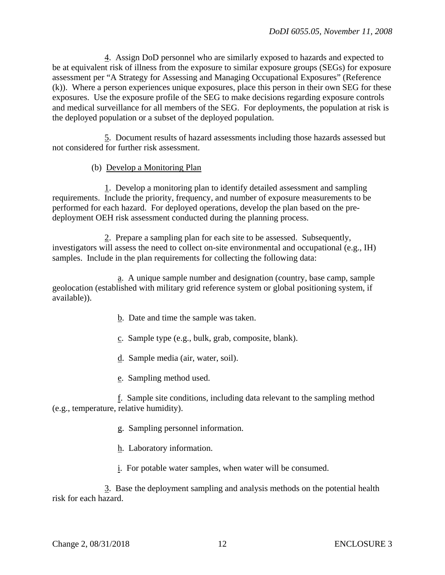4. Assign DoD personnel who are similarly exposed to hazards and expected to be at equivalent risk of illness from the exposure to similar exposure groups (SEGs) for exposure assessment per "A Strategy for Assessing and Managing Occupational Exposures" (Reference (k)). Where a person experiences unique exposures, place this person in their own SEG for these exposures. Use the exposure profile of the SEG to make decisions regarding exposure controls and medical surveillance for all members of the SEG. For deployments, the population at risk is the deployed population or a subset of the deployed population.

 5. Document results of hazard assessments including those hazards assessed but not considered for further risk assessment.

#### (b) Develop a Monitoring Plan

 1. Develop a monitoring plan to identify detailed assessment and sampling requirements. Include the priority, frequency, and number of exposure measurements to be performed for each hazard. For deployed operations, develop the plan based on the predeployment OEH risk assessment conducted during the planning process.

 2. Prepare a sampling plan for each site to be assessed. Subsequently, investigators will assess the need to collect on-site environmental and occupational (e.g., IH) samples. Include in the plan requirements for collecting the following data:

 a. A unique sample number and designation (country, base camp, sample geolocation (established with military grid reference system or global positioning system, if available)).

- b. Date and time the sample was taken.
- c. Sample type (e.g., bulk, grab, composite, blank).
- d. Sample media (air, water, soil).
- e. Sampling method used.

 f. Sample site conditions, including data relevant to the sampling method (e.g., temperature, relative humidity).

- g. Sampling personnel information.
- h. Laboratory information.
- i. For potable water samples, when water will be consumed.

 3. Base the deployment sampling and analysis methods on the potential health risk for each hazard.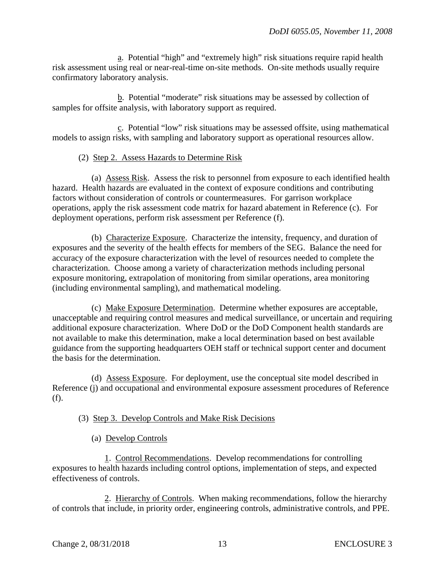a. Potential "high" and "extremely high" risk situations require rapid health risk assessment using real or near-real-time on-site methods. On-site methods usually require confirmatory laboratory analysis.

 b. Potential "moderate" risk situations may be assessed by collection of samples for offsite analysis, with laboratory support as required.

 c. Potential "low" risk situations may be assessed offsite, using mathematical models to assign risks, with sampling and laboratory support as operational resources allow.

#### (2) Step 2. Assess Hazards to Determine Risk

 (a) Assess Risk. Assess the risk to personnel from exposure to each identified health hazard. Health hazards are evaluated in the context of exposure conditions and contributing factors without consideration of controls or countermeasures. For garrison workplace operations, apply the risk assessment code matrix for hazard abatement in Reference (c). For deployment operations, perform risk assessment per Reference (f).

 (b) Characterize Exposure. Characterize the intensity, frequency, and duration of exposures and the severity of the health effects for members of the SEG. Balance the need for accuracy of the exposure characterization with the level of resources needed to complete the characterization. Choose among a variety of characterization methods including personal exposure monitoring, extrapolation of monitoring from similar operations, area monitoring (including environmental sampling), and mathematical modeling.

 (c) Make Exposure Determination. Determine whether exposures are acceptable, unacceptable and requiring control measures and medical surveillance, or uncertain and requiring additional exposure characterization. Where DoD or the DoD Component health standards are not available to make this determination, make a local determination based on best available guidance from the supporting headquarters OEH staff or technical support center and document the basis for the determination.

 (d) Assess Exposure. For deployment, use the conceptual site model described in Reference (j) and occupational and environmental exposure assessment procedures of Reference (f).

#### (3) Step 3. Develop Controls and Make Risk Decisions

(a) Develop Controls

 1. Control Recommendations. Develop recommendations for controlling exposures to health hazards including control options, implementation of steps, and expected effectiveness of controls.

 2. Hierarchy of Controls. When making recommendations, follow the hierarchy of controls that include, in priority order, engineering controls, administrative controls, and PPE.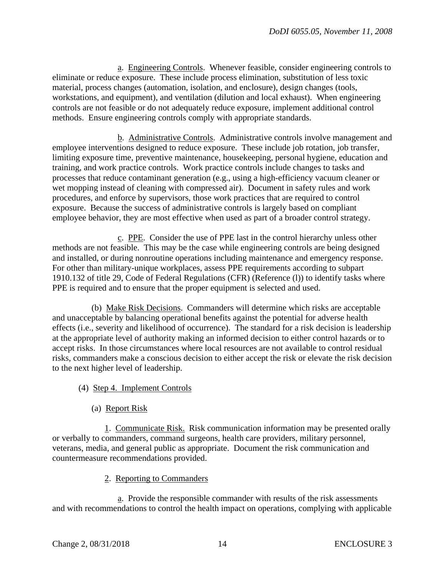a. Engineering Controls. Whenever feasible, consider engineering controls to eliminate or reduce exposure. These include process elimination, substitution of less toxic material, process changes (automation, isolation, and enclosure), design changes (tools, workstations, and equipment), and ventilation (dilution and local exhaust). When engineering controls are not feasible or do not adequately reduce exposure, implement additional control methods. Ensure engineering controls comply with appropriate standards.

 b. Administrative Controls. Administrative controls involve management and employee interventions designed to reduce exposure. These include job rotation, job transfer, limiting exposure time, preventive maintenance, housekeeping, personal hygiene, education and training, and work practice controls. Work practice controls include changes to tasks and processes that reduce contaminant generation (e.g., using a high-efficiency vacuum cleaner or wet mopping instead of cleaning with compressed air). Document in safety rules and work procedures, and enforce by supervisors, those work practices that are required to control exposure. Because the success of administrative controls is largely based on compliant employee behavior, they are most effective when used as part of a broader control strategy.

 c. PPE. Consider the use of PPE last in the control hierarchy unless other methods are not feasible. This may be the case while engineering controls are being designed and installed, or during nonroutine operations including maintenance and emergency response. For other than military-unique workplaces, assess PPE requirements according to subpart 1910.132 of title 29, Code of Federal Regulations (CFR) (Reference (l)) to identify tasks where PPE is required and to ensure that the proper equipment is selected and used.

 (b) Make Risk Decisions. Commanders will determine which risks are acceptable and unacceptable by balancing operational benefits against the potential for adverse health effects (i.e., severity and likelihood of occurrence). The standard for a risk decision is leadership at the appropriate level of authority making an informed decision to either control hazards or to accept risks. In those circumstances where local resources are not available to control residual risks, commanders make a conscious decision to either accept the risk or elevate the risk decision to the next higher level of leadership.

- (4) Step 4. Implement Controls
	- (a) Report Risk

 1. Communicate Risk. Risk communication information may be presented orally or verbally to commanders, command surgeons, health care providers, military personnel, veterans, media, and general public as appropriate. Document the risk communication and countermeasure recommendations provided.

#### 2. Reporting to Commanders

 a. Provide the responsible commander with results of the risk assessments and with recommendations to control the health impact on operations, complying with applicable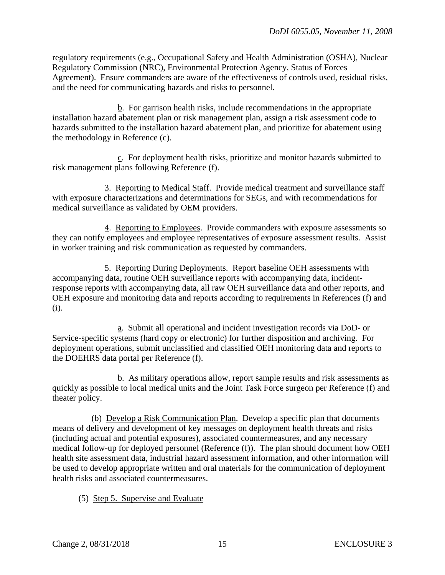regulatory requirements (e.g., Occupational Safety and Health Administration (OSHA), Nuclear Regulatory Commission (NRC), Environmental Protection Agency, Status of Forces Agreement). Ensure commanders are aware of the effectiveness of controls used, residual risks, and the need for communicating hazards and risks to personnel.

 $\underline{b}$ . For garrison health risks, include recommendations in the appropriate installation hazard abatement plan or risk management plan, assign a risk assessment code to hazards submitted to the installation hazard abatement plan, and prioritize for abatement using the methodology in Reference (c).

 c. For deployment health risks, prioritize and monitor hazards submitted to risk management plans following Reference (f).

 3. Reporting to Medical Staff. Provide medical treatment and surveillance staff with exposure characterizations and determinations for SEGs, and with recommendations for medical surveillance as validated by OEM providers.

 4. Reporting to Employees. Provide commanders with exposure assessments so they can notify employees and employee representatives of exposure assessment results. Assist in worker training and risk communication as requested by commanders.

 5. Reporting During Deployments. Report baseline OEH assessments with accompanying data, routine OEH surveillance reports with accompanying data, incidentresponse reports with accompanying data, all raw OEH surveillance data and other reports, and OEH exposure and monitoring data and reports according to requirements in References (f) and (i).

 a. Submit all operational and incident investigation records via DoD- or Service-specific systems (hard copy or electronic) for further disposition and archiving. For deployment operations, submit unclassified and classified OEH monitoring data and reports to the DOEHRS data portal per Reference (f).

 b. As military operations allow, report sample results and risk assessments as quickly as possible to local medical units and the Joint Task Force surgeon per Reference (f) and theater policy.

 (b) Develop a Risk Communication Plan. Develop a specific plan that documents means of delivery and development of key messages on deployment health threats and risks (including actual and potential exposures), associated countermeasures, and any necessary medical follow-up for deployed personnel (Reference (f)). The plan should document how OEH health site assessment data, industrial hazard assessment information, and other information will be used to develop appropriate written and oral materials for the communication of deployment health risks and associated countermeasures.

(5) Step 5. Supervise and Evaluate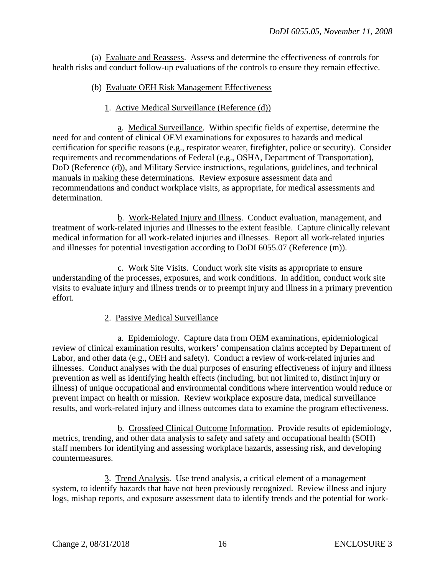(a) Evaluate and Reassess. Assess and determine the effectiveness of controls for health risks and conduct follow-up evaluations of the controls to ensure they remain effective.

#### (b) Evaluate OEH Risk Management Effectiveness

#### 1. Active Medical Surveillance (Reference (d))

 a. Medical Surveillance. Within specific fields of expertise, determine the need for and content of clinical OEM examinations for exposures to hazards and medical certification for specific reasons (e.g., respirator wearer, firefighter, police or security). Consider requirements and recommendations of Federal (e.g., OSHA, Department of Transportation), DoD (Reference (d)), and Military Service instructions, regulations, guidelines, and technical manuals in making these determinations. Review exposure assessment data and recommendations and conduct workplace visits, as appropriate, for medical assessments and determination.

 b. Work-Related Injury and Illness. Conduct evaluation, management, and treatment of work-related injuries and illnesses to the extent feasible. Capture clinically relevant medical information for all work-related injuries and illnesses. Report all work-related injuries and illnesses for potential investigation according to DoDI 6055.07 (Reference (m)).

 c. Work Site Visits. Conduct work site visits as appropriate to ensure understanding of the processes, exposures, and work conditions. In addition, conduct work site visits to evaluate injury and illness trends or to preempt injury and illness in a primary prevention effort.

#### 2. Passive Medical Surveillance

 a. Epidemiology. Capture data from OEM examinations, epidemiological review of clinical examination results, workers' compensation claims accepted by Department of Labor, and other data (e.g., OEH and safety). Conduct a review of work-related injuries and illnesses. Conduct analyses with the dual purposes of ensuring effectiveness of injury and illness prevention as well as identifying health effects (including, but not limited to, distinct injury or illness) of unique occupational and environmental conditions where intervention would reduce or prevent impact on health or mission. Review workplace exposure data, medical surveillance results, and work-related injury and illness outcomes data to examine the program effectiveness.

 b. Crossfeed Clinical Outcome Information. Provide results of epidemiology, metrics, trending, and other data analysis to safety and safety and occupational health (SOH) staff members for identifying and assessing workplace hazards, assessing risk, and developing countermeasures.

 3. Trend Analysis. Use trend analysis, a critical element of a management system, to identify hazards that have not been previously recognized. Review illness and injury logs, mishap reports, and exposure assessment data to identify trends and the potential for work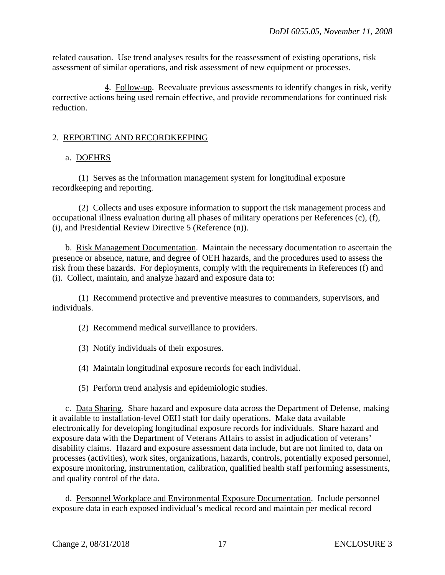related causation. Use trend analyses results for the reassessment of existing operations, risk assessment of similar operations, and risk assessment of new equipment or processes.

 4. Follow-up. Reevaluate previous assessments to identify changes in risk, verify corrective actions being used remain effective, and provide recommendations for continued risk reduction.

### 2. REPORTING AND RECORDKEEPING

#### a. DOEHRS

 (1) Serves as the information management system for longitudinal exposure recordkeeping and reporting.

 (2) Collects and uses exposure information to support the risk management process and occupational illness evaluation during all phases of military operations per References (c), (f), (i), and Presidential Review Directive 5 (Reference (n)).

 b. Risk Management Documentation. Maintain the necessary documentation to ascertain the presence or absence, nature, and degree of OEH hazards, and the procedures used to assess the risk from these hazards. For deployments, comply with the requirements in References (f) and (i). Collect, maintain, and analyze hazard and exposure data to:

 (1) Recommend protective and preventive measures to commanders, supervisors, and individuals.

- (2) Recommend medical surveillance to providers.
- (3) Notify individuals of their exposures.
- (4) Maintain longitudinal exposure records for each individual.
- (5) Perform trend analysis and epidemiologic studies.

 c. Data Sharing. Share hazard and exposure data across the Department of Defense, making it available to installation-level OEH staff for daily operations. Make data available electronically for developing longitudinal exposure records for individuals. Share hazard and exposure data with the Department of Veterans Affairs to assist in adjudication of veterans' disability claims. Hazard and exposure assessment data include, but are not limited to, data on processes (activities), work sites, organizations, hazards, controls, potentially exposed personnel, exposure monitoring, instrumentation, calibration, qualified health staff performing assessments, and quality control of the data.

 d. Personnel Workplace and Environmental Exposure Documentation. Include personnel exposure data in each exposed individual's medical record and maintain per medical record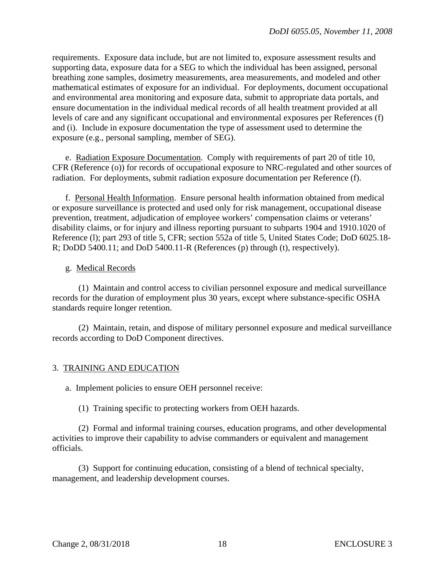requirements. Exposure data include, but are not limited to, exposure assessment results and supporting data, exposure data for a SEG to which the individual has been assigned, personal breathing zone samples, dosimetry measurements, area measurements, and modeled and other mathematical estimates of exposure for an individual. For deployments, document occupational and environmental area monitoring and exposure data, submit to appropriate data portals, and ensure documentation in the individual medical records of all health treatment provided at all levels of care and any significant occupational and environmental exposures per References (f) and (i). Include in exposure documentation the type of assessment used to determine the exposure (e.g., personal sampling, member of SEG).

 e. Radiation Exposure Documentation. Comply with requirements of part 20 of title 10, CFR (Reference (o)) for records of occupational exposure to NRC-regulated and other sources of radiation. For deployments, submit radiation exposure documentation per Reference (f).

f. Personal Health Information. Ensure personal health information obtained from medical or exposure surveillance is protected and used only for risk management, occupational disease prevention, treatment, adjudication of employee workers' compensation claims or veterans' disability claims, or for injury and illness reporting pursuant to subparts 1904 and 1910.1020 of Reference (l); part 293 of title 5, CFR; section 552a of title 5, United States Code; DoD 6025.18- R; DoDD 5400.11; and DoD 5400.11-R (References (p) through (t), respectively).

#### g. Medical Records

 (1) Maintain and control access to civilian personnel exposure and medical surveillance records for the duration of employment plus 30 years, except where substance-specific OSHA standards require longer retention.

 (2) Maintain, retain, and dispose of military personnel exposure and medical surveillance records according to DoD Component directives.

#### 3. TRAINING AND EDUCATION

a. Implement policies to ensure OEH personnel receive:

(1) Training specific to protecting workers from OEH hazards.

 (2) Formal and informal training courses, education programs, and other developmental activities to improve their capability to advise commanders or equivalent and management officials.

 (3) Support for continuing education, consisting of a blend of technical specialty, management, and leadership development courses.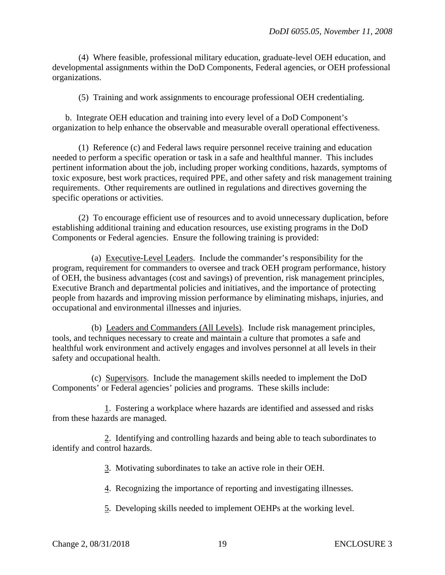(4) Where feasible, professional military education, graduate-level OEH education, and developmental assignments within the DoD Components, Federal agencies, or OEH professional organizations.

(5) Training and work assignments to encourage professional OEH credentialing.

 b. Integrate OEH education and training into every level of a DoD Component's organization to help enhance the observable and measurable overall operational effectiveness.

 (1) Reference (c) and Federal laws require personnel receive training and education needed to perform a specific operation or task in a safe and healthful manner. This includes pertinent information about the job, including proper working conditions, hazards, symptoms of toxic exposure, best work practices, required PPE, and other safety and risk management training requirements. Other requirements are outlined in regulations and directives governing the specific operations or activities.

 (2) To encourage efficient use of resources and to avoid unnecessary duplication, before establishing additional training and education resources, use existing programs in the DoD Components or Federal agencies. Ensure the following training is provided:

 (a) Executive-Level Leaders. Include the commander's responsibility for the program, requirement for commanders to oversee and track OEH program performance, history of OEH, the business advantages (cost and savings) of prevention, risk management principles, Executive Branch and departmental policies and initiatives, and the importance of protecting people from hazards and improving mission performance by eliminating mishaps, injuries, and occupational and environmental illnesses and injuries.

 (b) Leaders and Commanders (All Levels). Include risk management principles, tools, and techniques necessary to create and maintain a culture that promotes a safe and healthful work environment and actively engages and involves personnel at all levels in their safety and occupational health.

 (c) Supervisors. Include the management skills needed to implement the DoD Components' or Federal agencies' policies and programs. These skills include:

 1. Fostering a workplace where hazards are identified and assessed and risks from these hazards are managed.

 2. Identifying and controlling hazards and being able to teach subordinates to identify and control hazards.

3. Motivating subordinates to take an active role in their OEH.

4. Recognizing the importance of reporting and investigating illnesses.

5. Developing skills needed to implement OEHPs at the working level.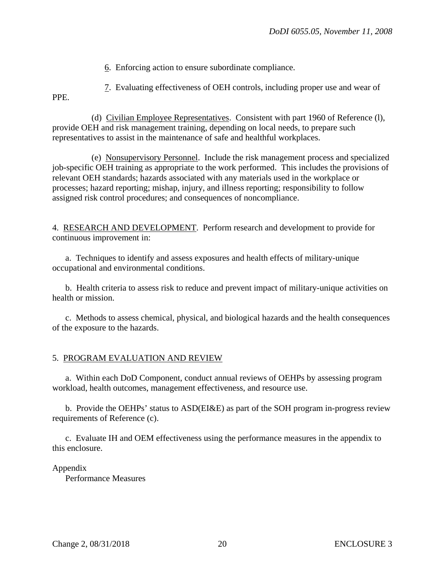6. Enforcing action to ensure subordinate compliance.

 7. Evaluating effectiveness of OEH controls, including proper use and wear of PPE.

 (d) Civilian Employee Representatives. Consistent with part 1960 of Reference (l), provide OEH and risk management training, depending on local needs, to prepare such representatives to assist in the maintenance of safe and healthful workplaces.

 (e) Nonsupervisory Personnel. Include the risk management process and specialized job-specific OEH training as appropriate to the work performed. This includes the provisions of relevant OEH standards; hazards associated with any materials used in the workplace or processes; hazard reporting; mishap, injury, and illness reporting; responsibility to follow assigned risk control procedures; and consequences of noncompliance.

4. RESEARCH AND DEVELOPMENT. Perform research and development to provide for continuous improvement in:

a. Techniques to identify and assess exposures and health effects of military-unique occupational and environmental conditions.

b. Health criteria to assess risk to reduce and prevent impact of military-unique activities on health or mission.

c. Methods to assess chemical, physical, and biological hazards and the health consequences of the exposure to the hazards.

#### 5. PROGRAM EVALUATION AND REVIEW

 a. Within each DoD Component, conduct annual reviews of OEHPs by assessing program workload, health outcomes, management effectiveness, and resource use.

 b. Provide the OEHPs' status to ASD(EI&E) as part of the SOH program in-progress review requirements of Reference (c).

 c. Evaluate IH and OEM effectiveness using the performance measures in the appendix to this enclosure.

#### Appendix

Performance Measures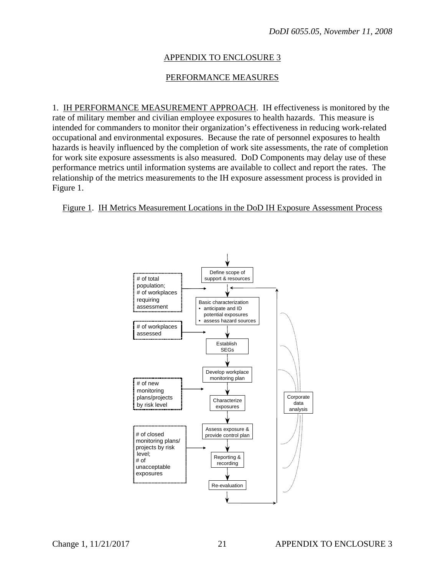#### APPENDIX TO ENCLOSURE 3

#### PERFORMANCE MEASURES

1. IH PERFORMANCE MEASUREMENT APPROACH. IH effectiveness is monitored by the rate of military member and civilian employee exposures to health hazards. This measure is intended for commanders to monitor their organization's effectiveness in reducing work-related occupational and environmental exposures. Because the rate of personnel exposures to health hazards is heavily influenced by the completion of work site assessments, the rate of completion for work site exposure assessments is also measured. DoD Components may delay use of these performance metrics until information systems are available to collect and report the rates. The relationship of the metrics measurements to the IH exposure assessment process is provided in Figure 1.

#### Figure 1. IH Metrics Measurement Locations in the DoD IH Exposure Assessment Process

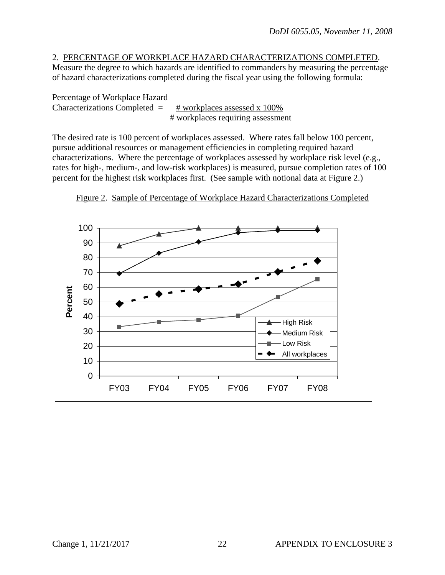#### 2. PERCENTAGE OF WORKPLACE HAZARD CHARACTERIZATIONS COMPLETED.

Measure the degree to which hazards are identified to commanders by measuring the percentage of hazard characterizations completed during the fiscal year using the following formula:

Percentage of Workplace Hazard

Characterizations Completed  $=$   $\frac{\text{# workplaces assessed x 100\%}}{\text{# workplaces.}}$ # workplaces requiring assessment

The desired rate is 100 percent of workplaces assessed. Where rates fall below 100 percent, pursue additional resources or management efficiencies in completing required hazard characterizations. Where the percentage of workplaces assessed by workplace risk level (e.g., rates for high-, medium-, and low-risk workplaces) is measured, pursue completion rates of 100 rates for high-, hiedium-, and low-risk workplaces) is measured, pursue completion rates percent for the highest risk workplaces first. (See sample with notional data at Figure 2.)



Figure 2. Sample of Percentage of Workplace Hazard Characterizations Completed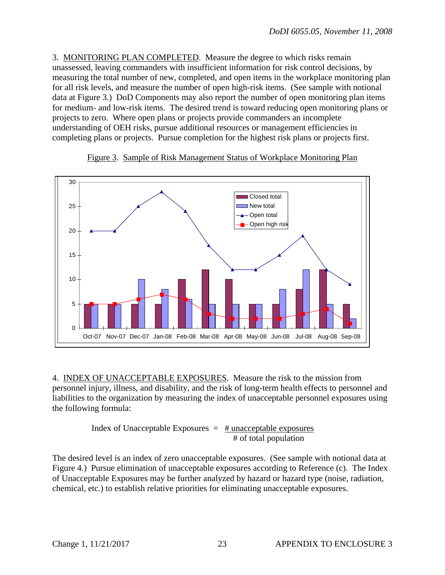3. MONITORING PLAN COMPLETED. Measure the degree to which risks remain unassessed, leaving commanders with insufficient information for risk control decisions, by measuring the total number of new, completed, and open items in the workplace monitoring plan for all risk levels, and measure the number of open high-risk items. (See sample with notional data at Figure 3.) DoD Components may also report the number of open monitoring plan items for medium- and low-risk items. The desired trend is toward reducing open monitoring plans or projects to zero. Where open plans or projects provide commanders an incomplete understanding of OEH risks, pursue additional resources or management efficiencies in completing plans or projects. Pursue completion for the highest risk plans or projects first.



Figure 3. Sample of Risk Management Status of Workplace Monitoring Plan 

4. INDEX OF UNACCEPTABLE EXPOSURES. Measure the risk to the mission from personnel injury, illness, and disability, and the risk of long-term health effects to personnel and liabilities to the organization by measuring the index of unacceptable personnel exposures using the following formula:

> Index of Unacceptable Exposures  $=$  # unacceptable exposures # of total population

The desired level is an index of zero unacceptable exposures. (See sample with notional data at Figure 4.) Pursue elimination of unacceptable exposures according to Reference (c). The Index of Unacceptable Exposures may be further analyzed by hazard or hazard type (noise, radiation, chemical, etc.) to establish relative priorities for eliminating unacceptable exposures.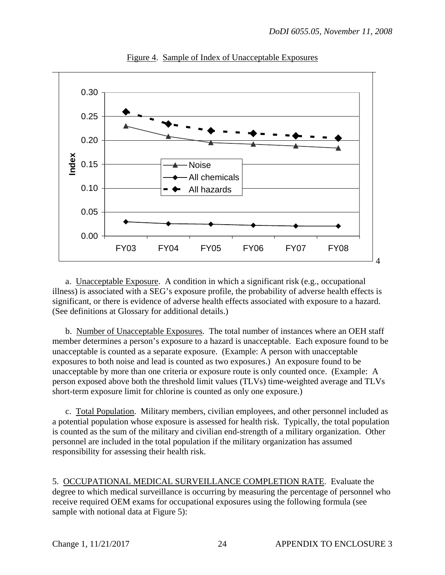

Figure 4. Sample of Index of Unacceptable Exposures

 a. Unacceptable Exposure. A condition in which a significant risk (e.g., occupational illness) is associated with a SEG's exposure profile, the probability of adverse health effects is significant, or there is evidence of adverse health effects associated with exposure to a hazard. (See definitions at Glossary for additional details.)

 b. Number of Unacceptable Exposures. The total number of instances where an OEH staff member determines a person's exposure to a hazard is unacceptable. Each exposure found to be unacceptable is counted as a separate exposure. (Example: A person with unacceptable exposures to both noise and lead is counted as two exposures.) An exposure found to be unacceptable by more than one criteria or exposure route is only counted once. (Example: A person exposed above both the threshold limit values (TLVs) time-weighted average and TLVs short-term exposure limit for chlorine is counted as only one exposure.)

 c. Total Population. Military members, civilian employees, and other personnel included as a potential population whose exposure is assessed for health risk. Typically, the total population is counted as the sum of the military and civilian end-strength of a military organization. Other personnel are included in the total population if the military organization has assumed responsibility for assessing their health risk.

5. OCCUPATIONAL MEDICAL SURVEILLANCE COMPLETION RATE. Evaluate the degree to which medical surveillance is occurring by measuring the percentage of personnel who receive required OEM exams for occupational exposures using the following formula (see sample with notional data at Figure 5):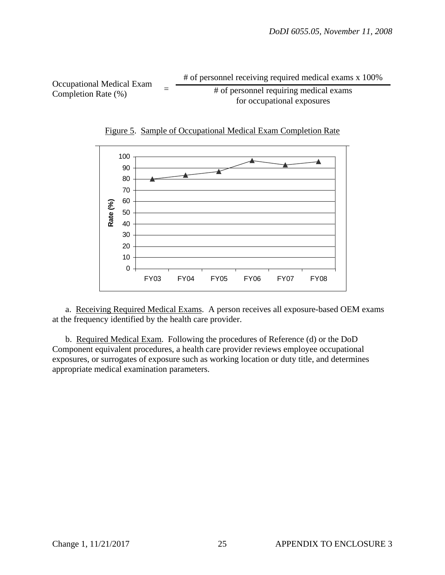Occupational Medical Exam  $=$   $\frac{\text{# of personnel receiving required medical exams x 100\%}}{\text{# of personnel requiring medical exams}}$ <br>Completion Rate (%)



Figure 5. Sample of Occupational Medical Exam Completion Rate

 a. Receiving Required Medical Exams. A person receives all exposure-based OEM exams at the frequency identified by the health care provider.

 b. Required Medical Exam. Following the procedures of Reference (d) or the DoD Component equivalent procedures, a health care provider reviews employee occupational exposures, or surrogates of exposure such as working location or duty title, and determines appropriate medical examination parameters.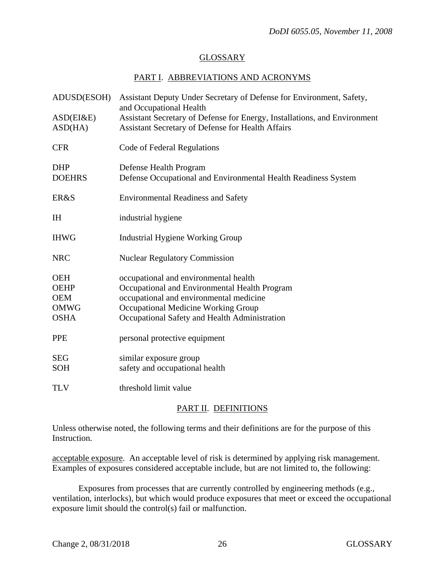### GLOSSARY

#### PART I. ABBREVIATIONS AND ACRONYMS

| ADUSD(ESOH)                                                           | Assistant Deputy Under Secretary of Defense for Environment, Safety,<br>and Occupational Health                                                                                                                           |
|-----------------------------------------------------------------------|---------------------------------------------------------------------------------------------------------------------------------------------------------------------------------------------------------------------------|
| ASD(EI&E)<br>ASD(HA)                                                  | Assistant Secretary of Defense for Energy, Installations, and Environment<br>Assistant Secretary of Defense for Health Affairs                                                                                            |
| <b>CFR</b>                                                            | Code of Federal Regulations                                                                                                                                                                                               |
| <b>DHP</b><br><b>DOEHRS</b>                                           | Defense Health Program<br>Defense Occupational and Environmental Health Readiness System                                                                                                                                  |
| ER&S                                                                  | <b>Environmental Readiness and Safety</b>                                                                                                                                                                                 |
| <b>IH</b>                                                             | industrial hygiene                                                                                                                                                                                                        |
| <b>IHWG</b>                                                           | <b>Industrial Hygiene Working Group</b>                                                                                                                                                                                   |
| <b>NRC</b>                                                            | <b>Nuclear Regulatory Commission</b>                                                                                                                                                                                      |
| <b>OEH</b><br><b>OEHP</b><br><b>OEM</b><br><b>OMWG</b><br><b>OSHA</b> | occupational and environmental health<br>Occupational and Environmental Health Program<br>occupational and environmental medicine<br>Occupational Medicine Working Group<br>Occupational Safety and Health Administration |
| <b>PPE</b>                                                            | personal protective equipment                                                                                                                                                                                             |
| <b>SEG</b><br><b>SOH</b>                                              | similar exposure group<br>safety and occupational health                                                                                                                                                                  |
| <b>TLV</b>                                                            | threshold limit value                                                                                                                                                                                                     |

#### PART II. DEFINITIONS

Unless otherwise noted, the following terms and their definitions are for the purpose of this Instruction.

acceptable exposure. An acceptable level of risk is determined by applying risk management. Examples of exposures considered acceptable include, but are not limited to, the following:

 Exposures from processes that are currently controlled by engineering methods (e.g., ventilation, interlocks), but which would produce exposures that meet or exceed the occupational exposure limit should the control(s) fail or malfunction.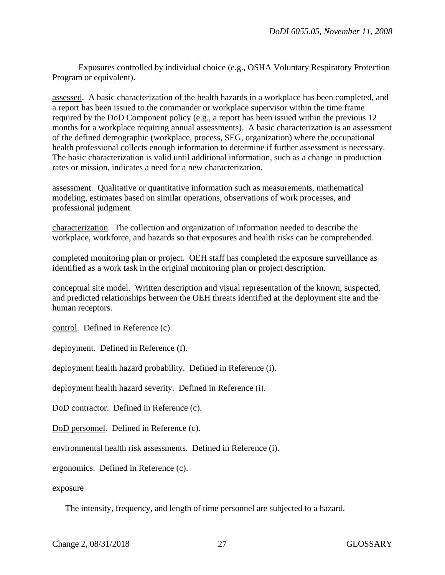Exposures controlled by individual choice (e.g., OSHA Voluntary Respiratory Protection Program or equivalent).

assessed. A basic characterization of the health hazards in a workplace has been completed, and a report has been issued to the commander or workplace supervisor within the time frame required by the DoD Component policy (e.g., a report has been issued within the previous 12 months for a workplace requiring annual assessments). A basic characterization is an assessment of the defined demographic (workplace, process, SEG, organization) where the occupational health professional collects enough information to determine if further assessment is necessary. The basic characterization is valid until additional information, such as a change in production rates or mission, indicates a need for a new characterization.

assessment. Qualitative or quantitative information such as measurements, mathematical modeling, estimates based on similar operations, observations of work processes, and professional judgment.

characterization. The collection and organization of information needed to describe the workplace, workforce, and hazards so that exposures and health risks can be comprehended.

completed monitoring plan or project. OEH staff has completed the exposure surveillance as identified as a work task in the original monitoring plan or project description.

conceptual site model. Written description and visual representation of the known, suspected, and predicted relationships between the OEH threats identified at the deployment site and the human receptors.

control. Defined in Reference (c).

deployment. Defined in Reference (f).

deployment health hazard probability. Defined in Reference (i).

deployment health hazard severity. Defined in Reference (i).

DoD contractor. Defined in Reference (c).

DoD personnel. Defined in Reference (c).

environmental health risk assessments. Defined in Reference (i).

ergonomics. Defined in Reference (c).

#### exposure

The intensity, frequency, and length of time personnel are subjected to a hazard.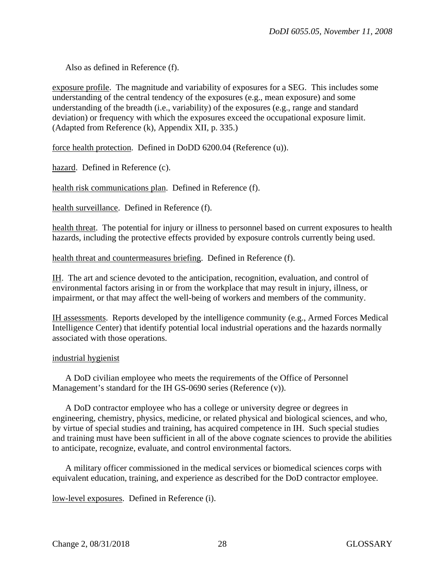Also as defined in Reference (f).

exposure profile. The magnitude and variability of exposures for a SEG. This includes some understanding of the central tendency of the exposures (e.g., mean exposure) and some understanding of the breadth (i.e., variability) of the exposures (e.g., range and standard deviation) or frequency with which the exposures exceed the occupational exposure limit. (Adapted from Reference (k), Appendix XII, p. 335.)

force health protection. Defined in DoDD 6200.04 (Reference (u)).

hazard. Defined in Reference (c).

health risk communications plan. Defined in Reference (f).

health surveillance. Defined in Reference (f).

health threat. The potential for injury or illness to personnel based on current exposures to health hazards, including the protective effects provided by exposure controls currently being used.

health threat and countermeasures briefing. Defined in Reference (f).

IH. The art and science devoted to the anticipation, recognition, evaluation, and control of environmental factors arising in or from the workplace that may result in injury, illness, or impairment, or that may affect the well-being of workers and members of the community.

IH assessments. Reports developed by the intelligence community (e.g., Armed Forces Medical Intelligence Center) that identify potential local industrial operations and the hazards normally associated with those operations.

#### industrial hygienist

 A DoD civilian employee who meets the requirements of the Office of Personnel Management's standard for the IH GS-0690 series (Reference (v)).

A DoD contractor employee who has a college or university degree or degrees in engineering, chemistry, physics, medicine, or related physical and biological sciences, and who, by virtue of special studies and training, has acquired competence in IH. Such special studies and training must have been sufficient in all of the above cognate sciences to provide the abilities to anticipate, recognize, evaluate, and control environmental factors.

A military officer commissioned in the medical services or biomedical sciences corps with equivalent education, training, and experience as described for the DoD contractor employee.

low-level exposures. Defined in Reference (i).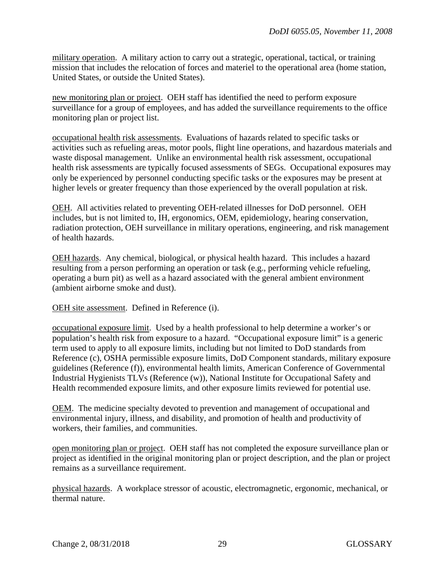military operation. A military action to carry out a strategic, operational, tactical, or training mission that includes the relocation of forces and materiel to the operational area (home station, United States, or outside the United States).

new monitoring plan or project. OEH staff has identified the need to perform exposure surveillance for a group of employees, and has added the surveillance requirements to the office monitoring plan or project list.

occupational health risk assessments. Evaluations of hazards related to specific tasks or activities such as refueling areas, motor pools, flight line operations, and hazardous materials and waste disposal management. Unlike an environmental health risk assessment, occupational health risk assessments are typically focused assessments of SEGs. Occupational exposures may only be experienced by personnel conducting specific tasks or the exposures may be present at higher levels or greater frequency than those experienced by the overall population at risk.

OEH. All activities related to preventing OEH-related illnesses for DoD personnel. OEH includes, but is not limited to, IH, ergonomics, OEM, epidemiology, hearing conservation, radiation protection, OEH surveillance in military operations, engineering, and risk management of health hazards.

OEH hazards. Any chemical, biological, or physical health hazard. This includes a hazard resulting from a person performing an operation or task (e.g., performing vehicle refueling, operating a burn pit) as well as a hazard associated with the general ambient environment (ambient airborne smoke and dust).

OEH site assessment. Defined in Reference (i).

occupational exposure limit. Used by a health professional to help determine a worker's or population's health risk from exposure to a hazard. "Occupational exposure limit" is a generic term used to apply to all exposure limits, including but not limited to DoD standards from Reference (c), OSHA permissible exposure limits, DoD Component standards, military exposure guidelines (Reference (f)), environmental health limits, American Conference of Governmental Industrial Hygienists TLVs (Reference (w)), National Institute for Occupational Safety and Health recommended exposure limits, and other exposure limits reviewed for potential use.

OEM. The medicine specialty devoted to prevention and management of occupational and environmental injury, illness, and disability, and promotion of health and productivity of workers, their families, and communities.

open monitoring plan or project. OEH staff has not completed the exposure surveillance plan or project as identified in the original monitoring plan or project description, and the plan or project remains as a surveillance requirement.

physical hazards. A workplace stressor of acoustic, electromagnetic, ergonomic, mechanical, or thermal nature.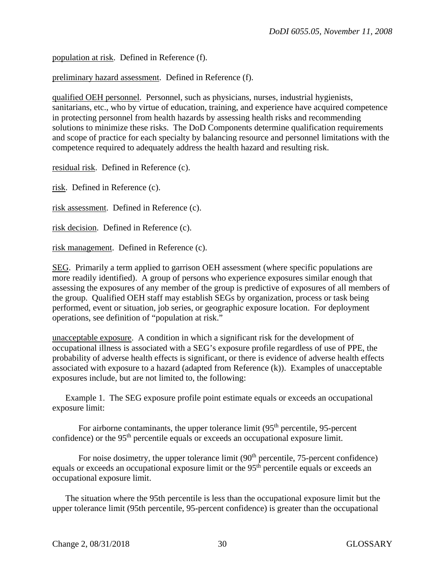population at risk. Defined in Reference (f).

preliminary hazard assessment. Defined in Reference (f).

qualified OEH personnel. Personnel, such as physicians, nurses, industrial hygienists, sanitarians, etc., who by virtue of education, training, and experience have acquired competence in protecting personnel from health hazards by assessing health risks and recommending solutions to minimize these risks. The DoD Components determine qualification requirements and scope of practice for each specialty by balancing resource and personnel limitations with the competence required to adequately address the health hazard and resulting risk.

residual risk. Defined in Reference (c).

risk. Defined in Reference (c).

risk assessment. Defined in Reference (c).

risk decision. Defined in Reference (c).

risk management. Defined in Reference (c).

SEG. Primarily a term applied to garrison OEH assessment (where specific populations are more readily identified). A group of persons who experience exposures similar enough that assessing the exposures of any member of the group is predictive of exposures of all members of the group. Qualified OEH staff may establish SEGs by organization, process or task being performed, event or situation, job series, or geographic exposure location. For deployment operations, see definition of "population at risk."

unacceptable exposure. A condition in which a significant risk for the development of occupational illness is associated with a SEG's exposure profile regardless of use of PPE, the probability of adverse health effects is significant, or there is evidence of adverse health effects associated with exposure to a hazard (adapted from Reference (k)). Examples of unacceptable exposures include, but are not limited to, the following:

Example 1. The SEG exposure profile point estimate equals or exceeds an occupational exposure limit:

For airborne contaminants, the upper tolerance limit  $(95<sup>th</sup>$  percentile, 95-percent confidence) or the 95<sup>th</sup> percentile equals or exceeds an occupational exposure limit.

For noise dosimetry, the upper tolerance limit  $(90<sup>th</sup>$  percentile, 75-percent confidence) equals or exceeds an occupational exposure limit or the 95<sup>th</sup> percentile equals or exceeds an occupational exposure limit.

 The situation where the 95th percentile is less than the occupational exposure limit but the upper tolerance limit (95th percentile, 95-percent confidence) is greater than the occupational